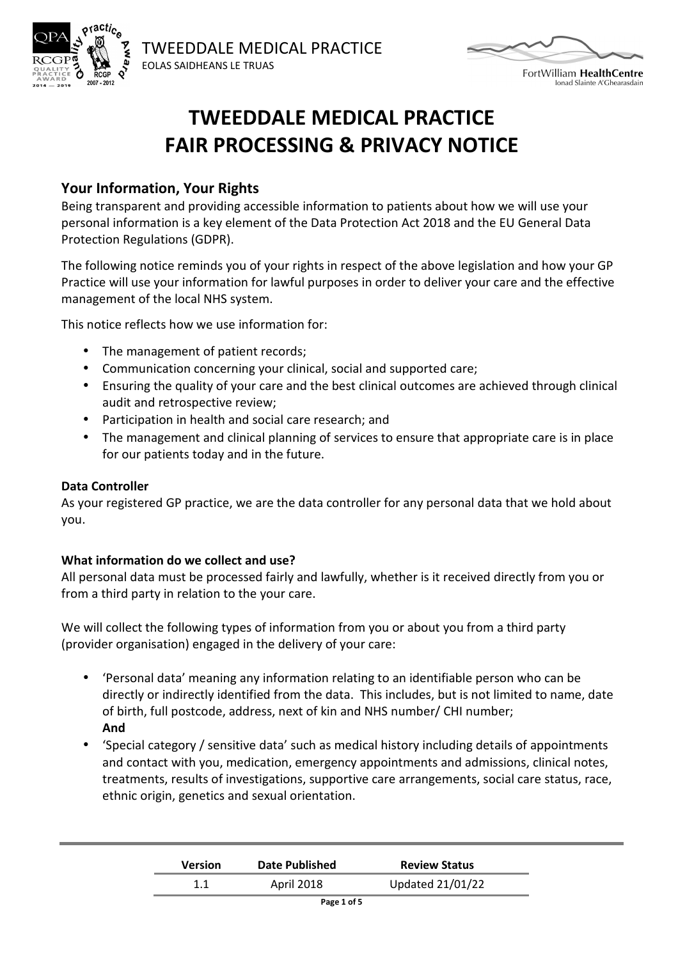



FortWilliam HealthCentre lonad Slainte A'Ghearasdair

# **TWEEDDALE MEDICAL PRACTICE FAIR PROCESSING & PRIVACY NOTICE**

#### **Your Information, Your Rights**

Being transparent and providing accessible information to patients about how we will use your personal information is a key element of the Data Protection Act 2018 and the EU General Data Protection Regulations (GDPR).

The following notice reminds you of your rights in respect of the above legislation and how your GP Practice will use your information for lawful purposes in order to deliver your care and the effective management of the local NHS system.

This notice reflects how we use information for:

- The management of patient records;
- Communication concerning your clinical, social and supported care;
- Ensuring the quality of your care and the best clinical outcomes are achieved through clinical audit and retrospective review;
- Participation in health and social care research; and
- The management and clinical planning of services to ensure that appropriate care is in place for our patients today and in the future.

#### **Data Controller**

As your registered GP practice, we are the data controller for any personal data that we hold about you.

#### **What information do we collect and use?**

All personal data must be processed fairly and lawfully, whether is it received directly from you or from a third party in relation to the your care.

We will collect the following types of information from you or about you from a third party (provider organisation) engaged in the delivery of your care:

- 'Personal data' meaning any information relating to an identifiable person who can be directly or indirectly identified from the data. This includes, but is not limited to name, date of birth, full postcode, address, next of kin and NHS number/ CHI number; **And**
- 'Special category / sensitive data' such as medical history including details of appointments and contact with you, medication, emergency appointments and admissions, clinical notes, treatments, results of investigations, supportive care arrangements, social care status, race, ethnic origin, genetics and sexual orientation.

| <b>Version</b> | Date Published | <b>Review Status</b>    |
|----------------|----------------|-------------------------|
|                | April 2018     | <b>Updated 21/01/22</b> |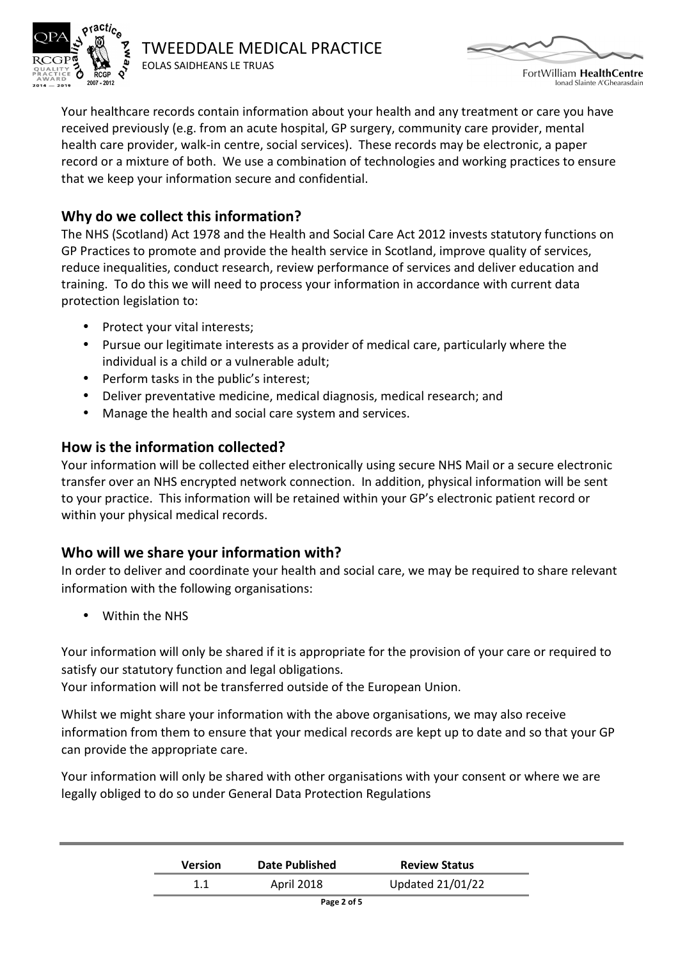

TWEEDDALE MEDICAL PRACTICE EOLAS SAIDHEANS LE TRUAS



FortWilliam HealthCentre lonad Slainte A'Ghearasdain

Your healthcare records contain information about your health and any treatment or care you have received previously (e.g. from an acute hospital, GP surgery, community care provider, mental health care provider, walk-in centre, social services). These records may be electronic, a paper record or a mixture of both. We use a combination of technologies and working practices to ensure that we keep your information secure and confidential.

# **Why do we collect this information?**

The NHS (Scotland) Act 1978 and the Health and Social Care Act 2012 invests statutory functions on GP Practices to promote and provide the health service in Scotland, improve quality of services, reduce inequalities, conduct research, review performance of services and deliver education and training. To do this we will need to process your information in accordance with current data protection legislation to:

- Protect your vital interests;
- Pursue our legitimate interests as a provider of medical care, particularly where the individual is a child or a vulnerable adult;
- Perform tasks in the public's interest;
- Deliver preventative medicine, medical diagnosis, medical research; and
- Manage the health and social care system and services.

## **How is the information collected?**

Your information will be collected either electronically using secure NHS Mail or a secure electronic transfer over an NHS encrypted network connection. In addition, physical information will be sent to your practice. This information will be retained within your GP's electronic patient record or within your physical medical records.

## **Who will we share your information with?**

In order to deliver and coordinate your health and social care, we may be required to share relevant information with the following organisations:

• Within the NHS

Your information will only be shared if it is appropriate for the provision of your care or required to satisfy our statutory function and legal obligations.

Your information will not be transferred outside of the European Union.

Whilst we might share your information with the above organisations, we may also receive information from them to ensure that your medical records are kept up to date and so that your GP can provide the appropriate care.

Your information will only be shared with other organisations with your consent or where we are legally obliged to do so under General Data Protection Regulations

| <b>Version</b> | Date Published | <b>Review Status</b> |
|----------------|----------------|----------------------|
|                | April 2018     | Updated 21/01/22     |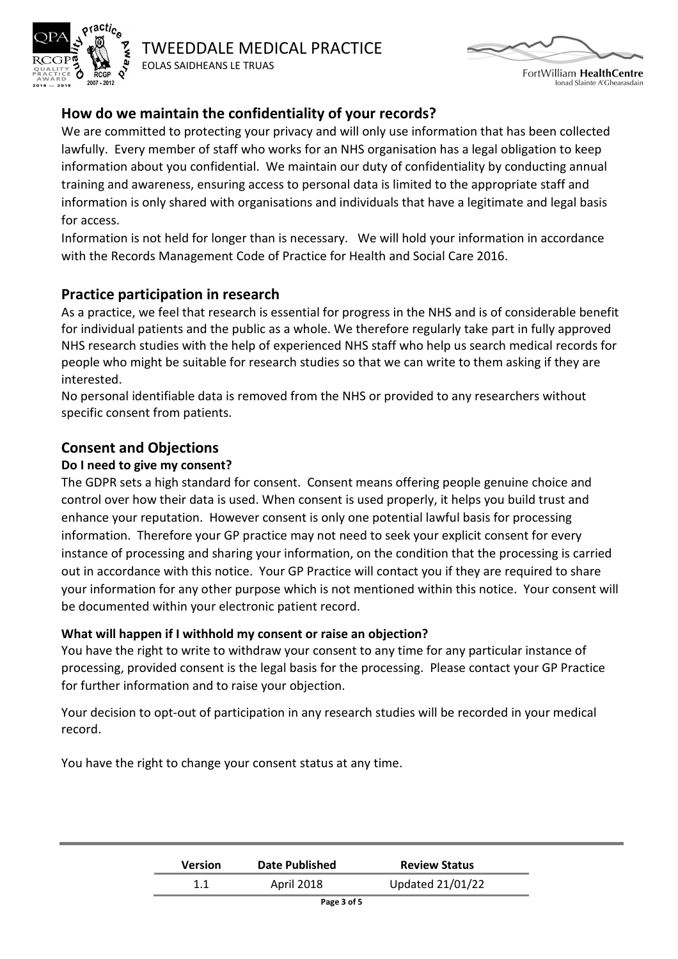

TWEEDDALE MEDICAL PRACTICE EOLAS SAIDHEANS LE TRUAS



FortWilliam HealthCentre lonad Slainte A'Ghearasdain

# **How do we maintain the confidentiality of your records?**

We are committed to protecting your privacy and will only use information that has been collected lawfully. Every member of staff who works for an NHS organisation has a legal obligation to keep information about you confidential. We maintain our duty of confidentiality by conducting annual training and awareness, ensuring access to personal data is limited to the appropriate staff and information is only shared with organisations and individuals that have a legitimate and legal basis for access.

Information is not held for longer than is necessary. We will hold your information in accordance with the Records Management Code of Practice for Health and Social Care 2016.

## **Practice participation in research**

As a practice, we feel that research is essential for progress in the NHS and is of considerable benefit for individual patients and the public as a whole. We therefore regularly take part in fully approved NHS research studies with the help of experienced NHS staff who help us search medical records for people who might be suitable for research studies so that we can write to them asking if they are interested.

No personal identifiable data is removed from the NHS or provided to any researchers without specific consent from patients.

## **Consent and Objections**

#### **Do I need to give my consent?**

The GDPR sets a high standard for consent. Consent means offering people genuine choice and control over how their data is used. When consent is used properly, it helps you build trust and enhance your reputation. However consent is only one potential lawful basis for processing information. Therefore your GP practice may not need to seek your explicit consent for every instance of processing and sharing your information, on the condition that the processing is carried out in accordance with this notice. Your GP Practice will contact you if they are required to share your information for any other purpose which is not mentioned within this notice. Your consent will be documented within your electronic patient record.

#### **What will happen if I withhold my consent or raise an objection?**

You have the right to write to withdraw your consent to any time for any particular instance of processing, provided consent is the legal basis for the processing. Please contact your GP Practice for further information and to raise your objection.

Your decision to opt-out of participation in any research studies will be recorded in your medical record.

You have the right to change your consent status at any time.

| <b>Version</b> | <b>Date Published</b> | <b>Review Status</b> |
|----------------|-----------------------|----------------------|
|                | April 2018            | Updated 21/01/22     |

**Page 3 of 5**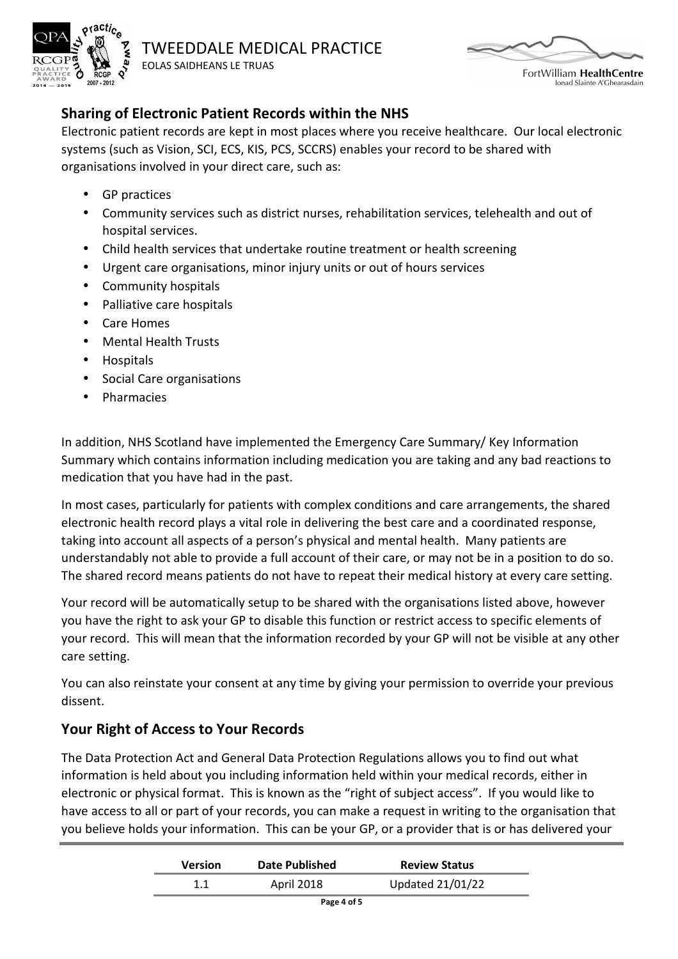



FortWilliam HealthCentre lonad Slainte A'Ghearasdain

# **Sharing of Electronic Patient Records within the NHS**

Electronic patient records are kept in most places where you receive healthcare. Our local electronic systems (such as Vision, SCI, ECS, KIS, PCS, SCCRS) enables your record to be shared with organisations involved in your direct care, such as:

- GP practices
- Community services such as district nurses, rehabilitation services, telehealth and out of hospital services.
- Child health services that undertake routine treatment or health screening
- Urgent care organisations, minor injury units or out of hours services
- Community hospitals
- Palliative care hospitals
- Care Homes
- Mental Health Trusts
- Hospitals
- Social Care organisations
- Pharmacies

In addition, NHS Scotland have implemented the Emergency Care Summary/ Key Information Summary which contains information including medication you are taking and any bad reactions to medication that you have had in the past.

In most cases, particularly for patients with complex conditions and care arrangements, the shared electronic health record plays a vital role in delivering the best care and a coordinated response, taking into account all aspects of a person's physical and mental health. Many patients are understandably not able to provide a full account of their care, or may not be in a position to do so. The shared record means patients do not have to repeat their medical history at every care setting.

Your record will be automatically setup to be shared with the organisations listed above, however you have the right to ask your GP to disable this function or restrict access to specific elements of your record. This will mean that the information recorded by your GP will not be visible at any other care setting.

You can also reinstate your consent at any time by giving your permission to override your previous dissent.

# **Your Right of Access to Your Records**

The Data Protection Act and General Data Protection Regulations allows you to find out what information is held about you including information held within your medical records, either in electronic or physical format. This is known as the "right of subject access". If you would like to have access to all or part of your records, you can make a request in writing to the organisation that you believe holds your information. This can be your GP, or a provider that is or has delivered your

| <b>Version</b> | <b>Date Published</b> | <b>Review Status</b>    |
|----------------|-----------------------|-------------------------|
|                | April 2018            | <b>Updated 21/01/22</b> |